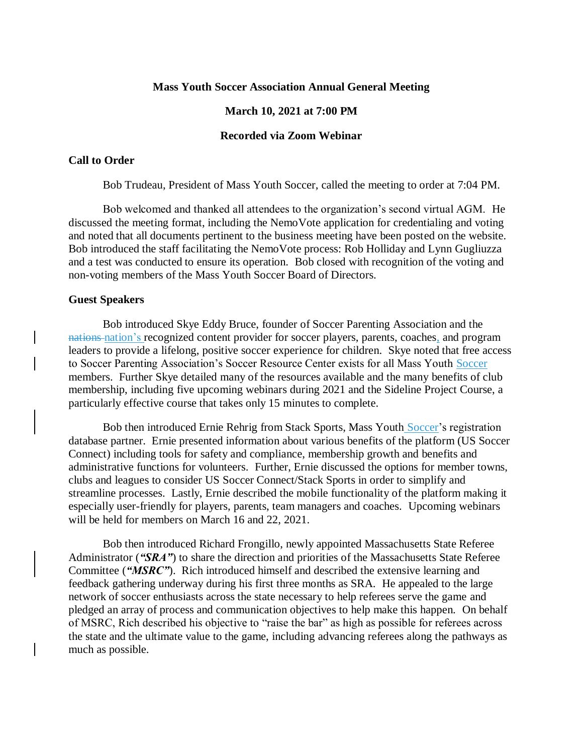#### **Mass Youth Soccer Association Annual General Meeting**

#### **March 10, 2021 at 7:00 PM**

## **Recorded via Zoom Webinar**

#### **Call to Order**

Bob Trudeau, President of Mass Youth Soccer, called the meeting to order at 7:04 PM.

Bob welcomed and thanked all attendees to the organization's second virtual AGM. He discussed the meeting format, including the NemoVote application for credentialing and voting and noted that all documents pertinent to the business meeting have been posted on the website. Bob introduced the staff facilitating the NemoVote process: Rob Holliday and Lynn Gugliuzza and a test was conducted to ensure its operation. Bob closed with recognition of the voting and non-voting members of the Mass Youth Soccer Board of Directors.

### **Guest Speakers**

Bob introduced Skye Eddy Bruce, founder of Soccer Parenting Association and the nations nation's recognized content provider for soccer players, parents, coaches, and program leaders to provide a lifelong, positive soccer experience for children. Skye noted that free access to Soccer Parenting Association's Soccer Resource Center exists for all Mass Youth Soccer members. Further Skye detailed many of the resources available and the many benefits of club membership, including five upcoming webinars during 2021 and the Sideline Project Course, a particularly effective course that takes only 15 minutes to complete.

Bob then introduced Ernie Rehrig from Stack Sports, Mass Youth Soccer's registration database partner. Ernie presented information about various benefits of the platform (US Soccer Connect) including tools for safety and compliance, membership growth and benefits and administrative functions for volunteers. Further, Ernie discussed the options for member towns, clubs and leagues to consider US Soccer Connect/Stack Sports in order to simplify and streamline processes. Lastly, Ernie described the mobile functionality of the platform making it especially user-friendly for players, parents, team managers and coaches. Upcoming webinars will be held for members on March 16 and 22, 2021.

Bob then introduced Richard Frongillo, newly appointed Massachusetts State Referee Administrator ("SRA") to share the direction and priorities of the Massachusetts State Referee Committee (*"MSRC"*). Rich introduced himself and described the extensive learning and feedback gathering underway during his first three months as SRA. He appealed to the large network of soccer enthusiasts across the state necessary to help referees serve the game and pledged an array of process and communication objectives to help make this happen. On behalf of MSRC, Rich described his objective to "raise the bar" as high as possible for referees across the state and the ultimate value to the game, including advancing referees along the pathways as much as possible.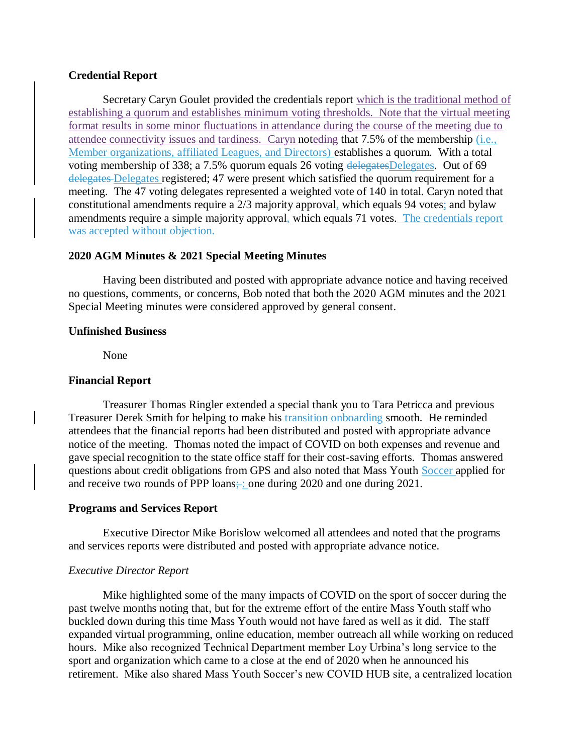## **Credential Report**

Secretary Caryn Goulet provided the credentials report which is the traditional method of establishing a quorum and establishes minimum voting thresholds. Note that the virtual meeting format results in some minor fluctuations in attendance during the course of the meeting due to attendee connectivity issues and tardiness. Caryn noteding that 7.5% of the membership (i.e., Member organizations, affiliated Leagues, and Directors) establishes a quorum. With a total voting membership of 338; a 7.5% quorum equals 26 voting delegatesDelegates. Out of 69 delegates Delegates registered; 47 were present which satisfied the quorum requirement for a meeting. The 47 voting delegates represented a weighted vote of 140 in total. Caryn noted that constitutional amendments require a 2/3 majority approval, which equals 94 votes; and bylaw amendments require a simple majority approval, which equals 71 votes. The credentials report was accepted without objection.

## **2020 AGM Minutes & 2021 Special Meeting Minutes**

Having been distributed and posted with appropriate advance notice and having received no questions, comments, or concerns, Bob noted that both the 2020 AGM minutes and the 2021 Special Meeting minutes were considered approved by general consent.

## **Unfinished Business**

None

### **Financial Report**

Treasurer Thomas Ringler extended a special thank you to Tara Petricca and previous Treasurer Derek Smith for helping to make his transition-onboarding smooth. He reminded attendees that the financial reports had been distributed and posted with appropriate advance notice of the meeting. Thomas noted the impact of COVID on both expenses and revenue and gave special recognition to the state office staff for their cost-saving efforts. Thomas answered questions about credit obligations from GPS and also noted that Mass Youth Soccer applied for and receive two rounds of PPP loans; : one during 2020 and one during 2021.

### **Programs and Services Report**

Executive Director Mike Borislow welcomed all attendees and noted that the programs and services reports were distributed and posted with appropriate advance notice.

### *Executive Director Report*

Mike highlighted some of the many impacts of COVID on the sport of soccer during the past twelve months noting that, but for the extreme effort of the entire Mass Youth staff who buckled down during this time Mass Youth would not have fared as well as it did. The staff expanded virtual programming, online education, member outreach all while working on reduced hours. Mike also recognized Technical Department member Loy Urbina's long service to the sport and organization which came to a close at the end of 2020 when he announced his retirement. Mike also shared Mass Youth Soccer's new COVID HUB site, a centralized location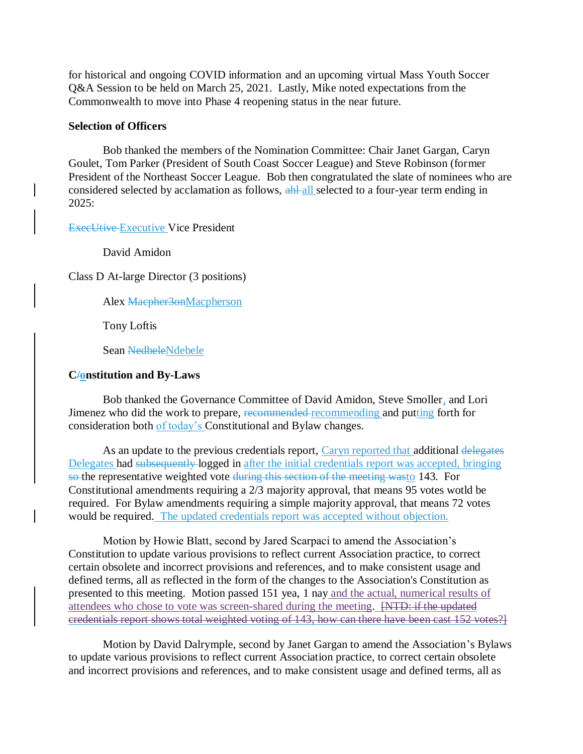for historical and ongoing COVID information and an upcoming virtual Mass Youth Soccer Q&A Session to be held on March 25, 2021. Lastly, Mike noted expectations from the Commonwealth to move into Phase 4 reopening status in the near future.

## **Selection of Officers**

Bob thanked the members of the Nomination Committee: Chair Janet Gargan, Caryn Goulet, Tom Parker (President of South Coast Soccer League) and Steve Robinson (former President of the Northeast Soccer League. Bob then congratulated the slate of nominees who are considered selected by acclamation as follows, ahl all selected to a four-year term ending in 2025:

ExecUtive Executive Vice President

David Amidon

Class D At-large Director (3 positions)

Alex Macpher3onMacpherson

Tony Loftis

Sean NedbeleNdebele

## **C/onstitution and By-Laws**

Bob thanked the Governance Committee of David Amidon, Steve Smoller, and Lori Jimenez who did the work to prepare, recommended recommending and putting forth for consideration both of today's Constitutional and Bylaw changes.

As an update to the previous credentials report, Caryn reported that additional delegates Delegates had subsequently logged in after the initial credentials report was accepted, bringing so the representative weighted vote during this section of the meeting wasto 143. For Constitutional amendments requiring a 2/3 majority approval, that means 95 votes wotld be required. For Bylaw amendments requiring a simple majority approval, that means 72 votes would be required. The updated credentials report was accepted without objection.

Motion by Howie Blatt, second by Jared Scarpaci to amend the Association's Constitution to update various provisions to reflect current Association practice, to correct certain obsolete and incorrect provisions and references, and to make consistent usage and defined terms, all as reflected in the form of the changes to the Association's Constitution as presented to this meeting. Motion passed 151 yea, 1 nay and the actual, numerical results of attendees who chose to vote was screen-shared during the meeting. [NTD: if the updated credentials report shows total weighted voting of 143, how can there have been cast 152 votes?]

Motion by David Dalrymple, second by Janet Gargan to amend the Association's Bylaws to update various provisions to reflect current Association practice, to correct certain obsolete and incorrect provisions and references, and to make consistent usage and defined terms, all as